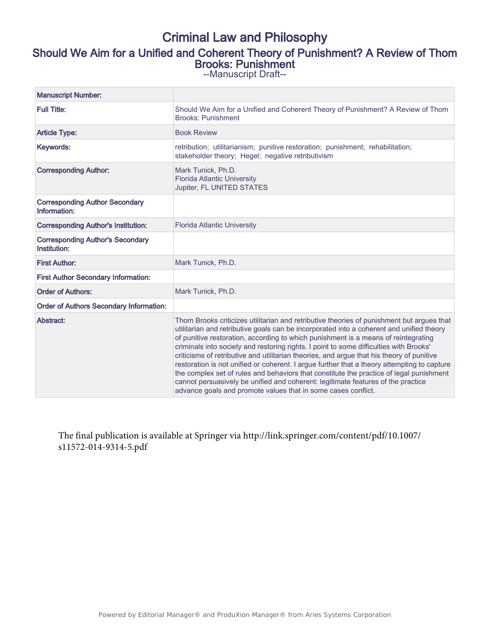# Criminal Law and Philosophy Should We Aim for a Unified and Coherent Theory of Punishment? A Review of Thom Brooks: Punishment --Manuscript Draft--

| <b>Manuscript Number:</b>                               |                                                                                                                                                                                                                                                                                                                                                                                                                                                                                                                                                                                                                                                                                                                                                                                                                   |
|---------------------------------------------------------|-------------------------------------------------------------------------------------------------------------------------------------------------------------------------------------------------------------------------------------------------------------------------------------------------------------------------------------------------------------------------------------------------------------------------------------------------------------------------------------------------------------------------------------------------------------------------------------------------------------------------------------------------------------------------------------------------------------------------------------------------------------------------------------------------------------------|
| <b>Full Title:</b>                                      | Should We Aim for a Unified and Coherent Theory of Punishment? A Review of Thom<br><b>Brooks: Punishment</b>                                                                                                                                                                                                                                                                                                                                                                                                                                                                                                                                                                                                                                                                                                      |
| <b>Article Type:</b>                                    | <b>Book Review</b>                                                                                                                                                                                                                                                                                                                                                                                                                                                                                                                                                                                                                                                                                                                                                                                                |
| Keywords:                                               | retribution; utilitarianism; punitive restoration; punishment; rehabilitation;<br>stakeholder theory; Hegel; negative retributivism                                                                                                                                                                                                                                                                                                                                                                                                                                                                                                                                                                                                                                                                               |
| <b>Corresponding Author:</b>                            | Mark Tunick, Ph.D.<br><b>Florida Atlantic University</b><br>Jupiter, FL UNITED STATES                                                                                                                                                                                                                                                                                                                                                                                                                                                                                                                                                                                                                                                                                                                             |
| <b>Corresponding Author Secondary</b><br>Information:   |                                                                                                                                                                                                                                                                                                                                                                                                                                                                                                                                                                                                                                                                                                                                                                                                                   |
| <b>Corresponding Author's Institution:</b>              | <b>Florida Atlantic University</b>                                                                                                                                                                                                                                                                                                                                                                                                                                                                                                                                                                                                                                                                                                                                                                                |
| <b>Corresponding Author's Secondary</b><br>Institution: |                                                                                                                                                                                                                                                                                                                                                                                                                                                                                                                                                                                                                                                                                                                                                                                                                   |
| <b>First Author:</b>                                    | Mark Tunick, Ph.D.                                                                                                                                                                                                                                                                                                                                                                                                                                                                                                                                                                                                                                                                                                                                                                                                |
| <b>First Author Secondary Information:</b>              |                                                                                                                                                                                                                                                                                                                                                                                                                                                                                                                                                                                                                                                                                                                                                                                                                   |
| <b>Order of Authors:</b>                                | Mark Tunick, Ph.D.                                                                                                                                                                                                                                                                                                                                                                                                                                                                                                                                                                                                                                                                                                                                                                                                |
| <b>Order of Authors Secondary Information:</b>          |                                                                                                                                                                                                                                                                                                                                                                                                                                                                                                                                                                                                                                                                                                                                                                                                                   |
| Abstract:                                               | Thom Brooks criticizes utilitarian and retributive theories of punishment but argues that<br>utilitarian and retributive goals can be incorporated into a coherent and unified theory<br>of punitive restoration, according to which punishment is a means of reintegrating<br>criminals into society and restoring rights. I point to some difficulties with Brooks'<br>criticisms of retributive and utilitarian theories, and argue that his theory of punitive<br>restoration is not unified or coherent. I argue further that a theory attempting to capture<br>the complex set of rules and behaviors that constitute the practice of legal punishment<br>cannot persuasively be unified and coherent: legitimate features of the practice<br>advance goals and promote values that in some cases conflict. |

The final publication is available at Springer via http://link.springer.com/content/pdf/10.1007/ s11572-014-9314-5.pdf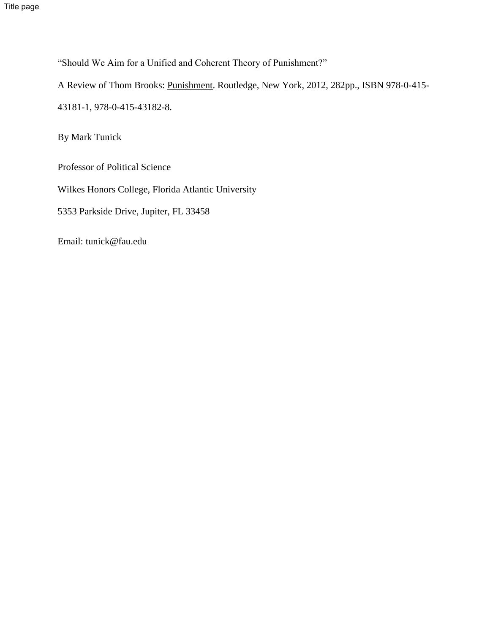"Should We Aim for a Unified and Coherent Theory of Punishment?"

A Review of Thom Brooks: Punishment. Routledge, New York, 2012, 282pp., ISBN 978-0-415- 43181-1, 978-0-415-43182-8.

By Mark Tunick

Professor of Political Science

Wilkes Honors College, Florida Atlantic University

5353 Parkside Drive, Jupiter, FL 33458

Email: tunick@fau.edu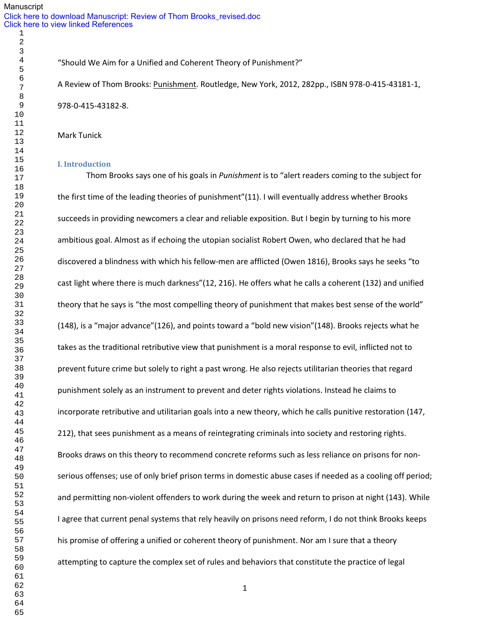"Should We Aim for a Unified and Coherent Theory of Punishment?"

A Review of Thom Brooks: Punishment. Routledge, New York, 2012, 282pp., ISBN 978-0-415-43181-1, 978-0-415-43182-8.

Mark Tunick

#### **I. Introduction**

Thom Brooks says one of his goals in *Punishment* is to "alert readers coming to the subject for the first time of the leading theories of punishment"(11). I will eventually address whether Brooks succeeds in providing newcomers a clear and reliable exposition. But I begin by turning to his more ambitious goal. Almost as if echoing the utopian socialist Robert Owen, who declared that he had discovered a blindness with which his fellow-men are afflicted (Owen 1816), Brooks says he seeks "to cast light where there is much darkness"(12, 216). He offers what he calls a coherent (132) and unified theory that he says is "the most compelling theory of punishment that makes best sense of the world" (148), is a "major advance"(126), and points toward a "bold new vision"(148). Brooks rejects what he takes as the traditional retributive view that punishment is a moral response to evil, inflicted not to prevent future crime but solely to right a past wrong. He also rejects utilitarian theories that regard punishment solely as an instrument to prevent and deter rights violations. Instead he claims to incorporate retributive and utilitarian goals into a new theory, which he calls punitive restoration (147, 212), that sees punishment as a means of reintegrating criminals into society and restoring rights. Brooks draws on this theory to recommend concrete reforms such as less reliance on prisons for nonserious offenses; use of only brief prison terms in domestic abuse cases if needed as a cooling off period; and permitting non-violent offenders to work during the week and return to prison at night (143). While I agree that current penal systems that rely heavily on prisons need reform, I do not think Brooks keeps his promise of offering a unified or coherent theory of punishment. Nor am I sure that a theory attempting to capture the complex set of rules and behaviors that constitute the practice of legal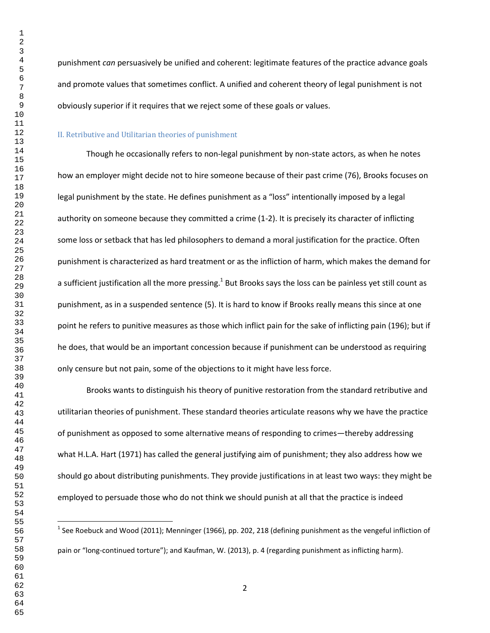punishment *can* persuasively be unified and coherent: legitimate features of the practice advance goals and promote values that sometimes conflict. A unified and coherent theory of legal punishment is not obviously superior if it requires that we reject some of these goals or values.

### II. Retributive and Utilitarian theories of punishment

Though he occasionally refers to non-legal punishment by non-state actors, as when he notes how an employer might decide not to hire someone because of their past crime (76), Brooks focuses on legal punishment by the state. He defines punishment as a "loss" intentionally imposed by a legal authority on someone because they committed a crime (1-2). It is precisely its character of inflicting some loss or setback that has led philosophers to demand a moral justification for the practice. Often punishment is characterized as hard treatment or as the infliction of harm, which makes the demand for a sufficient justification all the more pressing.<sup>1</sup> But Brooks says the loss can be painless yet still count as punishment, as in a suspended sentence (5). It is hard to know if Brooks really means this since at one point he refers to punitive measures as those which inflict pain for the sake of inflicting pain (196); but if he does, that would be an important concession because if punishment can be understood as requiring only censure but not pain, some of the objections to it might have less force.

Brooks wants to distinguish his theory of punitive restoration from the standard retributive and utilitarian theories of punishment. These standard theories articulate reasons why we have the practice of punishment as opposed to some alternative means of responding to crimes—thereby addressing what H.L.A. Hart (1971) has called the general justifying aim of punishment; they also address how we should go about distributing punishments. They provide justifications in at least two ways: they might be employed to persuade those who do not think we should punish at all that the practice is indeed

 $^1$  See Roebuck and Wood (2011); Menninger (1966), pp. 202, 218 (defining punishment as the vengeful infliction of pain or "long-continued torture"); and Kaufman, W. (2013), p. 4 (regarding punishment as inflicting harm).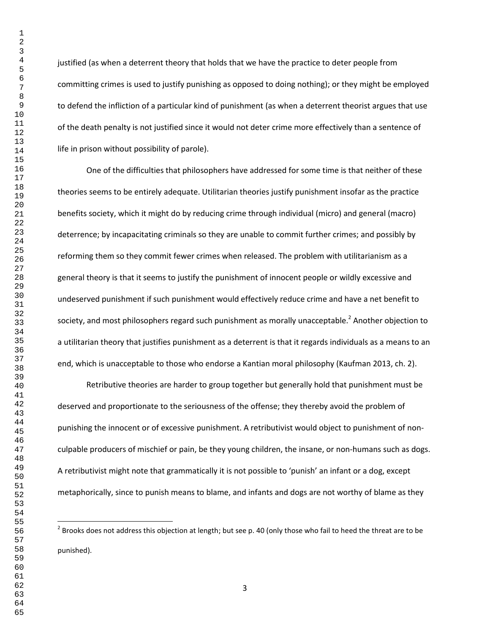justified (as when a deterrent theory that holds that we have the practice to deter people from committing crimes is used to justify punishing as opposed to doing nothing); or they might be employed to defend the infliction of a particular kind of punishment (as when a deterrent theorist argues that use of the death penalty is not justified since it would not deter crime more effectively than a sentence of life in prison without possibility of parole).

One of the difficulties that philosophers have addressed for some time is that neither of these theories seems to be entirely adequate. Utilitarian theories justify punishment insofar as the practice benefits society, which it might do by reducing crime through individual (micro) and general (macro) deterrence; by incapacitating criminals so they are unable to commit further crimes; and possibly by reforming them so they commit fewer crimes when released. The problem with utilitarianism as a general theory is that it seems to justify the punishment of innocent people or wildly excessive and undeserved punishment if such punishment would effectively reduce crime and have a net benefit to society, and most philosophers regard such punishment as morally unacceptable.<sup>2</sup> Another objection to a utilitarian theory that justifies punishment as a deterrent is that it regards individuals as a means to an end, which is unacceptable to those who endorse a Kantian moral philosophy (Kaufman 2013, ch. 2).

Retributive theories are harder to group together but generally hold that punishment must be deserved and proportionate to the seriousness of the offense; they thereby avoid the problem of punishing the innocent or of excessive punishment. A retributivist would object to punishment of nonculpable producers of mischief or pain, be they young children, the insane, or non-humans such as dogs. A retributivist might note that grammatically it is not possible to 'punish' an infant or a dog, except metaphorically, since to punish means to blame, and infants and dogs are not worthy of blame as they

 $^2$  Brooks does not address this objection at length; but see p. 40 (only those who fail to heed the threat are to be punished).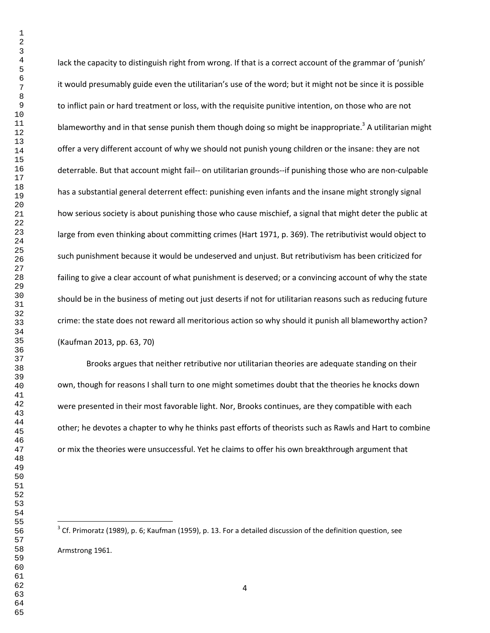lack the capacity to distinguish right from wrong. If that is a correct account of the grammar of 'punish' it would presumably guide even the utilitarian's use of the word; but it might not be since it is possible to inflict pain or hard treatment or loss, with the requisite punitive intention, on those who are not blameworthy and in that sense punish them though doing so might be inappropriate.<sup>3</sup> A utilitarian might offer a very different account of why we should not punish young children or the insane: they are not deterrable. But that account might fail-- on utilitarian grounds--if punishing those who are non-culpable has a substantial general deterrent effect: punishing even infants and the insane might strongly signal how serious society is about punishing those who cause mischief, a signal that might deter the public at large from even thinking about committing crimes (Hart 1971, p. 369). The retributivist would object to such punishment because it would be undeserved and unjust. But retributivism has been criticized for failing to give a clear account of what punishment is deserved; or a convincing account of why the state should be in the business of meting out just deserts if not for utilitarian reasons such as reducing future crime: the state does not reward all meritorious action so why should it punish all blameworthy action? (Kaufman 2013, pp. 63, 70)

Brooks argues that neither retributive nor utilitarian theories are adequate standing on their own, though for reasons I shall turn to one might sometimes doubt that the theories he knocks down were presented in their most favorable light. Nor, Brooks continues, are they compatible with each other; he devotes a chapter to why he thinks past efforts of theorists such as Rawls and Hart to combine or mix the theories were unsuccessful. Yet he claims to offer his own breakthrough argument that

 $^3$  Cf. Primoratz (1989), p. 6; Kaufman (1959), p. 13. For a detailed discussion of the definition question, see Armstrong 1961.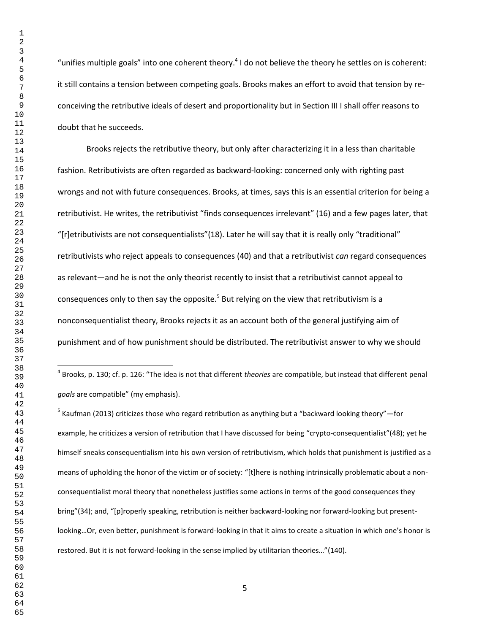"unifies multiple goals" into one coherent theory.<sup>4</sup> I do not believe the theory he settles on is coherent: it still contains a tension between competing goals. Brooks makes an effort to avoid that tension by reconceiving the retributive ideals of desert and proportionality but in Section III I shall offer reasons to doubt that he succeeds.

Brooks rejects the retributive theory, but only after characterizing it in a less than charitable fashion. Retributivists are often regarded as backward-looking: concerned only with righting past wrongs and not with future consequences. Brooks, at times, says this is an essential criterion for being a retributivist. He writes, the retributivist "finds consequences irrelevant" (16) and a few pages later, that "[r]etributivists are not consequentialists"(18). Later he will say that it is really only "traditional" retributivists who reject appeals to consequences (40) and that a retributivist *can* regard consequences as relevant—and he is not the only theorist recently to insist that a retributivist cannot appeal to consequences only to then say the opposite.<sup>5</sup> But relying on the view that retributivism is a nonconsequentialist theory, Brooks rejects it as an account both of the general justifying aim of punishment and of how punishment should be distributed. The retributivist answer to why we should

# Brooks, p. 130; cf. p. 126: "The idea is not that different *theories* are compatible, but instead that different penal *goals* are compatible" (my emphasis).

 $<sup>5</sup>$  Kaufman (2013) criticizes those who regard retribution as anything but a "backward looking theory"—for</sup> example, he criticizes a version of retribution that I have discussed for being "crypto-consequentialist"(48); yet he himself sneaks consequentialism into his own version of retributivism, which holds that punishment is justified as a means of upholding the honor of the victim or of society: "[t]here is nothing intrinsically problematic about a nonconsequentialist moral theory that nonetheless justifies some actions in terms of the good consequences they bring"(34); and, "[p]roperly speaking, retribution is neither backward-looking nor forward-looking but presentlooking…Or, even better, punishment is forward-looking in that it aims to create a situation in which one's honor is restored. But it is not forward-looking in the sense implied by utilitarian theories…"(140).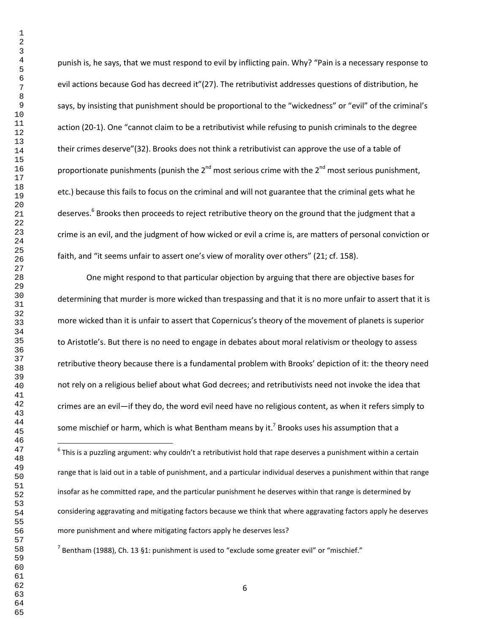punish is, he says, that we must respond to evil by inflicting pain. Why? "Pain is a necessary response to evil actions because God has decreed it"(27). The retributivist addresses questions of distribution, he says, by insisting that punishment should be proportional to the "wickedness" or "evil" of the criminal's action (20-1). One "cannot claim to be a retributivist while refusing to punish criminals to the degree their crimes deserve"(32). Brooks does not think a retributivist can approve the use of a table of proportionate punishments (punish the  $2^{nd}$  most serious crime with the  $2^{nd}$  most serious punishment, etc.) because this fails to focus on the criminal and will not guarantee that the criminal gets what he deserves.<sup>6</sup> Brooks then proceeds to reject retributive theory on the ground that the judgment that a crime is an evil, and the judgment of how wicked or evil a crime is, are matters of personal conviction or faith, and "it seems unfair to assert one's view of morality over others" (21; cf. 158).

One might respond to that particular objection by arguing that there are objective bases for determining that murder is more wicked than trespassing and that it is no more unfair to assert that it is more wicked than it is unfair to assert that Copernicus's theory of the movement of planets is superior to Aristotle's. But there is no need to engage in debates about moral relativism or theology to assess retributive theory because there is a fundamental problem with Brooks' depiction of it: the theory need not rely on a religious belief about what God decrees; and retributivists need not invoke the idea that crimes are an evil—if they do, the word evil need have no religious content, as when it refers simply to some mischief or harm, which is what Bentham means by it.<sup>7</sup> Brooks uses his assumption that a

 $^6$  This is a puzzling argument: why couldn't a retributivist hold that rape deserves a punishment within a certain range that is laid out in a table of punishment, and a particular individual deserves a punishment within that range insofar as he committed rape, and the particular punishment he deserves within that range is determined by considering aggravating and mitigating factors because we think that where aggravating factors apply he deserves more punishment and where mitigating factors apply he deserves less?

 $^7$  Bentham (1988), Ch. 13 §1: punishment is used to "exclude some greater evil" or "mischief."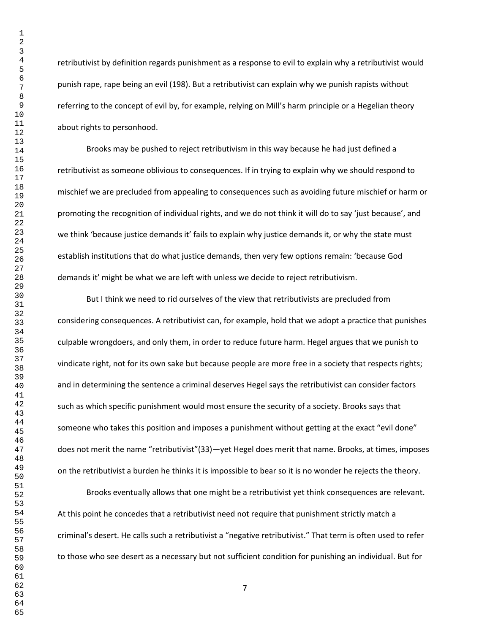retributivist by definition regards punishment as a response to evil to explain why a retributivist would punish rape, rape being an evil (198). But a retributivist can explain why we punish rapists without referring to the concept of evil by, for example, relying on Mill's harm principle or a Hegelian theory about rights to personhood.

Brooks may be pushed to reject retributivism in this way because he had just defined a retributivist as someone oblivious to consequences. If in trying to explain why we should respond to mischief we are precluded from appealing to consequences such as avoiding future mischief or harm or promoting the recognition of individual rights, and we do not think it will do to say 'just because', and we think 'because justice demands it' fails to explain why justice demands it, or why the state must establish institutions that do what justice demands, then very few options remain: 'because God demands it' might be what we are left with unless we decide to reject retributivism.

But I think we need to rid ourselves of the view that retributivists are precluded from considering consequences. A retributivist can, for example, hold that we adopt a practice that punishes culpable wrongdoers, and only them, in order to reduce future harm. Hegel argues that we punish to vindicate right, not for its own sake but because people are more free in a society that respects rights; and in determining the sentence a criminal deserves Hegel says the retributivist can consider factors such as which specific punishment would most ensure the security of a society. Brooks says that someone who takes this position and imposes a punishment without getting at the exact "evil done" does not merit the name "retributivist"(33)—yet Hegel does merit that name. Brooks, at times, imposes on the retributivist a burden he thinks it is impossible to bear so it is no wonder he rejects the theory.

Brooks eventually allows that one might be a retributivist yet think consequences are relevant. At this point he concedes that a retributivist need not require that punishment strictly match a criminal's desert. He calls such a retributivist a "negative retributivist." That term is often used to refer to those who see desert as a necessary but not sufficient condition for punishing an individual. But for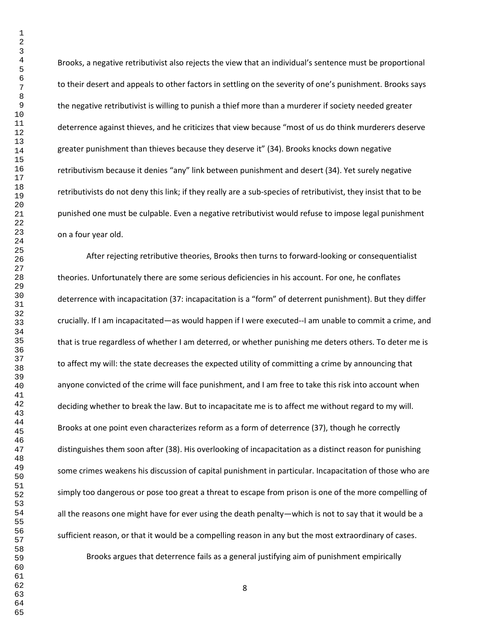Brooks, a negative retributivist also rejects the view that an individual's sentence must be proportional to their desert and appeals to other factors in settling on the severity of one's punishment. Brooks says the negative retributivist is willing to punish a thief more than a murderer if society needed greater deterrence against thieves, and he criticizes that view because "most of us do think murderers deserve greater punishment than thieves because they deserve it" (34). Brooks knocks down negative retributivism because it denies "any" link between punishment and desert (34). Yet surely negative retributivists do not deny this link; if they really are a sub-species of retributivist, they insist that to be punished one must be culpable. Even a negative retributivist would refuse to impose legal punishment on a four year old.

After rejecting retributive theories, Brooks then turns to forward-looking or consequentialist theories. Unfortunately there are some serious deficiencies in his account. For one, he conflates deterrence with incapacitation (37: incapacitation is a "form" of deterrent punishment). But they differ crucially. If I am incapacitated—as would happen if I were executed--I am unable to commit a crime, and that is true regardless of whether I am deterred, or whether punishing me deters others. To deter me is to affect my will: the state decreases the expected utility of committing a crime by announcing that anyone convicted of the crime will face punishment, and I am free to take this risk into account when deciding whether to break the law. But to incapacitate me is to affect me without regard to my will. Brooks at one point even characterizes reform as a form of deterrence (37), though he correctly distinguishes them soon after (38). His overlooking of incapacitation as a distinct reason for punishing some crimes weakens his discussion of capital punishment in particular. Incapacitation of those who are simply too dangerous or pose too great a threat to escape from prison is one of the more compelling of all the reasons one might have for ever using the death penalty—which is not to say that it would be a sufficient reason, or that it would be a compelling reason in any but the most extraordinary of cases. Brooks argues that deterrence fails as a general justifying aim of punishment empirically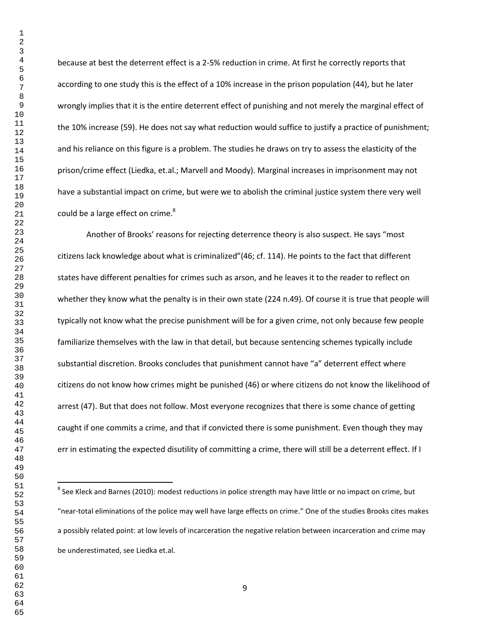because at best the deterrent effect is a 2-5% reduction in crime. At first he correctly reports that according to one study this is the effect of a 10% increase in the prison population (44), but he later wrongly implies that it is the entire deterrent effect of punishing and not merely the marginal effect of the 10% increase (59). He does not say what reduction would suffice to justify a practice of punishment; and his reliance on this figure is a problem. The studies he draws on try to assess the elasticity of the prison/crime effect (Liedka, et.al.; Marvell and Moody). Marginal increases in imprisonment may not have a substantial impact on crime, but were we to abolish the criminal justice system there very well could be a large effect on crime.<sup>8</sup>

Another of Brooks' reasons for rejecting deterrence theory is also suspect. He says "most citizens lack knowledge about what is criminalized"(46; cf. 114). He points to the fact that different states have different penalties for crimes such as arson, and he leaves it to the reader to reflect on whether they know what the penalty is in their own state (224 n.49). Of course it is true that people will typically not know what the precise punishment will be for a given crime, not only because few people familiarize themselves with the law in that detail, but because sentencing schemes typically include substantial discretion. Brooks concludes that punishment cannot have "a" deterrent effect where citizens do not know how crimes might be punished (46) or where citizens do not know the likelihood of arrest (47). But that does not follow. Most everyone recognizes that there is some chance of getting caught if one commits a crime, and that if convicted there is some punishment. Even though they may err in estimating the expected disutility of committing a crime, there will still be a deterrent effect. If I

 $^8$  See Kleck and Barnes (2010): modest reductions in police strength may have little or no impact on crime, but "near-total eliminations of the police may well have large effects on crime." One of the studies Brooks cites makes a possibly related point: at low levels of incarceration the negative relation between incarceration and crime may be underestimated, see Liedka et.al.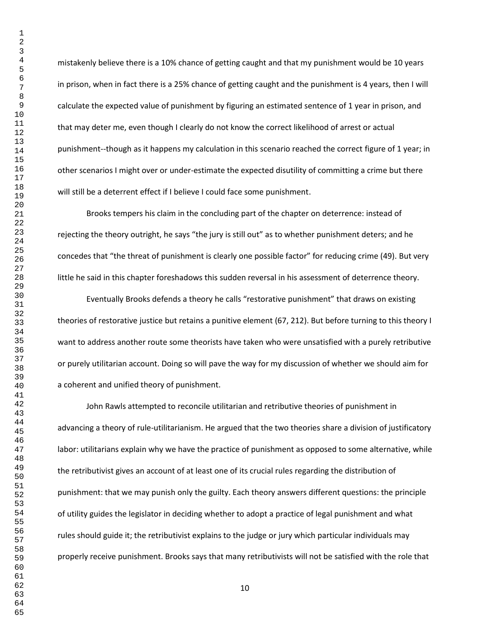mistakenly believe there is a 10% chance of getting caught and that my punishment would be 10 years in prison, when in fact there is a 25% chance of getting caught and the punishment is 4 years, then I will calculate the expected value of punishment by figuring an estimated sentence of 1 year in prison, and that may deter me, even though I clearly do not know the correct likelihood of arrest or actual punishment--though as it happens my calculation in this scenario reached the correct figure of 1 year; in other scenarios I might over or under-estimate the expected disutility of committing a crime but there will still be a deterrent effect if I believe I could face some punishment.

Brooks tempers his claim in the concluding part of the chapter on deterrence: instead of rejecting the theory outright, he says "the jury is still out" as to whether punishment deters; and he concedes that "the threat of punishment is clearly one possible factor" for reducing crime (49). But very little he said in this chapter foreshadows this sudden reversal in his assessment of deterrence theory.

Eventually Brooks defends a theory he calls "restorative punishment" that draws on existing theories of restorative justice but retains a punitive element (67, 212). But before turning to this theory I want to address another route some theorists have taken who were unsatisfied with a purely retributive or purely utilitarian account. Doing so will pave the way for my discussion of whether we should aim for a coherent and unified theory of punishment.

John Rawls attempted to reconcile utilitarian and retributive theories of punishment in advancing a theory of rule-utilitarianism. He argued that the two theories share a division of justificatory labor: utilitarians explain why we have the practice of punishment as opposed to some alternative, while the retributivist gives an account of at least one of its crucial rules regarding the distribution of punishment: that we may punish only the guilty. Each theory answers different questions: the principle of utility guides the legislator in deciding whether to adopt a practice of legal punishment and what rules should guide it; the retributivist explains to the judge or jury which particular individuals may properly receive punishment. Brooks says that many retributivists will not be satisfied with the role that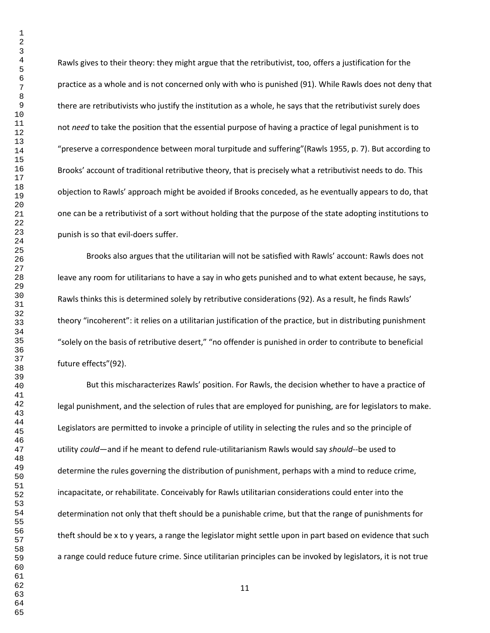Rawls gives to their theory: they might argue that the retributivist, too, offers a justification for the practice as a whole and is not concerned only with who is punished (91). While Rawls does not deny that there are retributivists who justify the institution as a whole, he says that the retributivist surely does not *need* to take the position that the essential purpose of having a practice of legal punishment is to "preserve a correspondence between moral turpitude and suffering"(Rawls 1955, p. 7). But according to Brooks' account of traditional retributive theory, that is precisely what a retributivist needs to do. This objection to Rawls' approach might be avoided if Brooks conceded, as he eventually appears to do, that one can be a retributivist of a sort without holding that the purpose of the state adopting institutions to punish is so that evil-doers suffer.

Brooks also argues that the utilitarian will not be satisfied with Rawls' account: Rawls does not leave any room for utilitarians to have a say in who gets punished and to what extent because, he says, Rawls thinks this is determined solely by retributive considerations (92). As a result, he finds Rawls' theory "incoherent": it relies on a utilitarian justification of the practice, but in distributing punishment "solely on the basis of retributive desert," "no offender is punished in order to contribute to beneficial future effects"(92).

But this mischaracterizes Rawls' position. For Rawls, the decision whether to have a practice of legal punishment, and the selection of rules that are employed for punishing, are for legislators to make. Legislators are permitted to invoke a principle of utility in selecting the rules and so the principle of utility *could*—and if he meant to defend rule-utilitarianism Rawls would say *should*--be used to determine the rules governing the distribution of punishment, perhaps with a mind to reduce crime, incapacitate, or rehabilitate. Conceivably for Rawls utilitarian considerations could enter into the determination not only that theft should be a punishable crime, but that the range of punishments for theft should be x to y years, a range the legislator might settle upon in part based on evidence that such a range could reduce future crime. Since utilitarian principles can be invoked by legislators, it is not true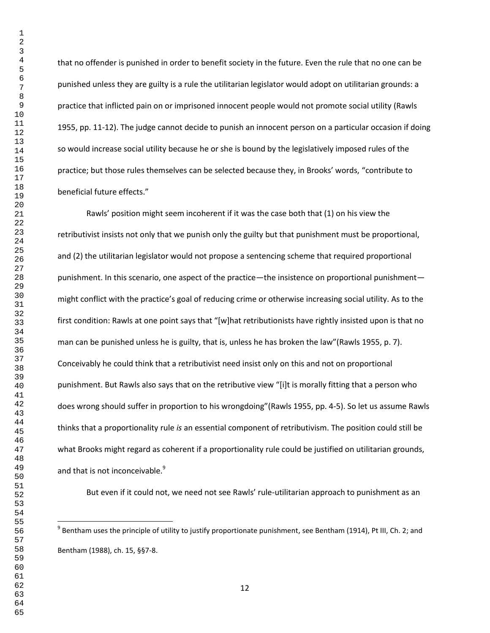$\overline{a}$ 

that no offender is punished in order to benefit society in the future. Even the rule that no one can be punished unless they are guilty is a rule the utilitarian legislator would adopt on utilitarian grounds: a practice that inflicted pain on or imprisoned innocent people would not promote social utility (Rawls 1955, pp. 11-12). The judge cannot decide to punish an innocent person on a particular occasion if doing so would increase social utility because he or she is bound by the legislatively imposed rules of the practice; but those rules themselves can be selected because they, in Brooks' words, "contribute to beneficial future effects."

Rawls' position might seem incoherent if it was the case both that (1) on his view the retributivist insists not only that we punish only the guilty but that punishment must be proportional, and (2) the utilitarian legislator would not propose a sentencing scheme that required proportional punishment. In this scenario, one aspect of the practice—the insistence on proportional punishment might conflict with the practice's goal of reducing crime or otherwise increasing social utility. As to the first condition: Rawls at one point says that "[w]hat retributionists have rightly insisted upon is that no man can be punished unless he is guilty, that is, unless he has broken the law"(Rawls 1955, p. 7). Conceivably he could think that a retributivist need insist only on this and not on proportional punishment. But Rawls also says that on the retributive view "[i]t is morally fitting that a person who does wrong should suffer in proportion to his wrongdoing"(Rawls 1955, pp. 4-5). So let us assume Rawls thinks that a proportionality rule *is* an essential component of retributivism. The position could still be what Brooks might regard as coherent if a proportionality rule could be justified on utilitarian grounds, and that is not inconceivable.<sup>9</sup>

But even if it could not, we need not see Rawls' rule-utilitarian approach to punishment as an

 $^9$  Bentham uses the principle of utility to justify proportionate punishment, see Bentham (1914), Pt III, Ch. 2; and Bentham (1988), ch. 15, §§7-8.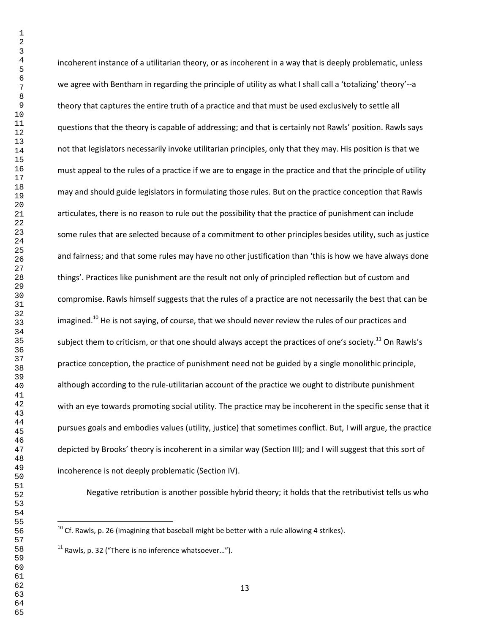incoherent instance of a utilitarian theory, or as incoherent in a way that is deeply problematic, unless we agree with Bentham in regarding the principle of utility as what I shall call a 'totalizing' theory'--a theory that captures the entire truth of a practice and that must be used exclusively to settle all questions that the theory is capable of addressing; and that is certainly not Rawls' position. Rawls says not that legislators necessarily invoke utilitarian principles, only that they may. His position is that we must appeal to the rules of a practice if we are to engage in the practice and that the principle of utility may and should guide legislators in formulating those rules. But on the practice conception that Rawls articulates, there is no reason to rule out the possibility that the practice of punishment can include some rules that are selected because of a commitment to other principles besides utility, such as justice and fairness; and that some rules may have no other justification than 'this is how we have always done things'. Practices like punishment are the result not only of principled reflection but of custom and compromise. Rawls himself suggests that the rules of a practice are not necessarily the best that can be imagined.<sup>10</sup> He is not saying, of course, that we should never review the rules of our practices and subject them to criticism, or that one should always accept the practices of one's society.<sup>11</sup> On Rawls's practice conception, the practice of punishment need not be guided by a single monolithic principle, although according to the rule-utilitarian account of the practice we ought to distribute punishment with an eye towards promoting social utility. The practice may be incoherent in the specific sense that it pursues goals and embodies values (utility, justice) that sometimes conflict. But, I will argue, the practice depicted by Brooks' theory is incoherent in a similar way (Section III); and I will suggest that this sort of incoherence is not deeply problematic (Section IV).

Negative retribution is another possible hybrid theory; it holds that the retributivist tells us who

Cf. Rawls, p. 26 (imagining that baseball might be better with a rule allowing 4 strikes).

Rawls, p. 32 ("There is no inference whatsoever...").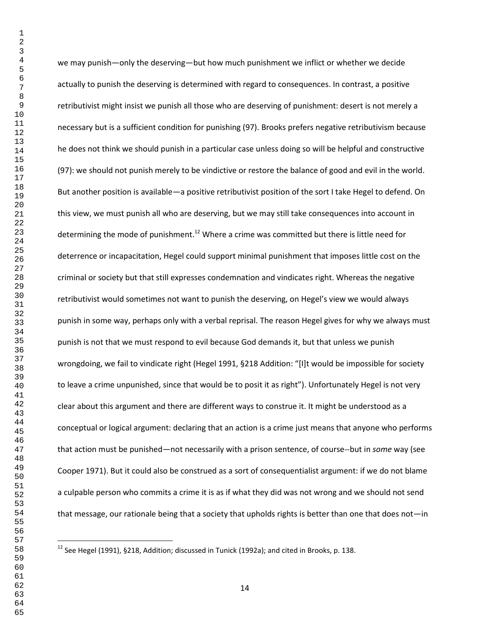we may punish—only the deserving—but how much punishment we inflict or whether we decide actually to punish the deserving is determined with regard to consequences. In contrast, a positive retributivist might insist we punish all those who are deserving of punishment: desert is not merely a necessary but is a sufficient condition for punishing (97). Brooks prefers negative retributivism because he does not think we should punish in a particular case unless doing so will be helpful and constructive (97): we should not punish merely to be vindictive or restore the balance of good and evil in the world. But another position is available—a positive retributivist position of the sort I take Hegel to defend. On this view, we must punish all who are deserving, but we may still take consequences into account in determining the mode of punishment.<sup>12</sup> Where a crime was committed but there is little need for deterrence or incapacitation, Hegel could support minimal punishment that imposes little cost on the criminal or society but that still expresses condemnation and vindicates right. Whereas the negative retributivist would sometimes not want to punish the deserving, on Hegel's view we would always punish in some way, perhaps only with a verbal reprisal. The reason Hegel gives for why we always must punish is not that we must respond to evil because God demands it, but that unless we punish wrongdoing, we fail to vindicate right (Hegel 1991, §218 Addition: "[I]t would be impossible for society to leave a crime unpunished, since that would be to posit it as right"). Unfortunately Hegel is not very clear about this argument and there are different ways to construe it. It might be understood as a conceptual or logical argument: declaring that an action is a crime just means that anyone who performs that action must be punished—not necessarily with a prison sentence, of course--but in *some* way (see Cooper 1971). But it could also be construed as a sort of consequentialist argument: if we do not blame a culpable person who commits a crime it is as if what they did was not wrong and we should not send that message, our rationale being that a society that upholds rights is better than one that does not—in

See Hegel (1991), §218, Addition; discussed in Tunick (1992a); and cited in Brooks, p. 138.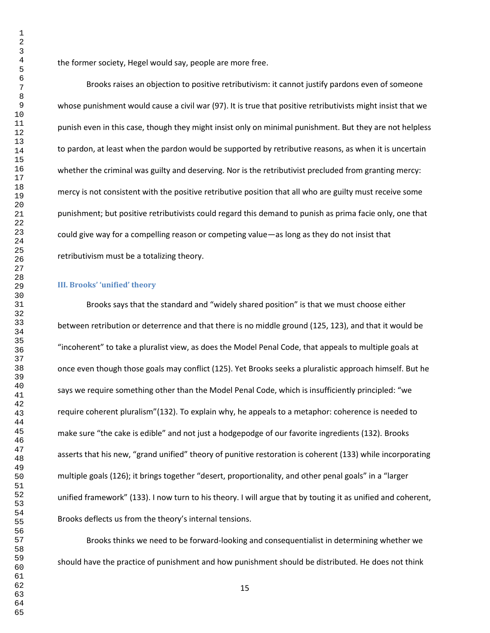the former society, Hegel would say, people are more free.

Brooks raises an objection to positive retributivism: it cannot justify pardons even of someone whose punishment would cause a civil war (97). It is true that positive retributivists might insist that we punish even in this case, though they might insist only on minimal punishment. But they are not helpless to pardon, at least when the pardon would be supported by retributive reasons, as when it is uncertain whether the criminal was guilty and deserving. Nor is the retributivist precluded from granting mercy: mercy is not consistent with the positive retributive position that all who are guilty must receive some punishment; but positive retributivists could regard this demand to punish as prima facie only, one that could give way for a compelling reason or competing value—as long as they do not insist that retributivism must be a totalizing theory.

#### **III. Brooks' 'unified' theory**

Brooks says that the standard and "widely shared position" is that we must choose either between retribution or deterrence and that there is no middle ground (125, 123), and that it would be "incoherent" to take a pluralist view, as does the Model Penal Code, that appeals to multiple goals at once even though those goals may conflict (125). Yet Brooks seeks a pluralistic approach himself. But he says we require something other than the Model Penal Code, which is insufficiently principled: "we require coherent pluralism"(132). To explain why, he appeals to a metaphor: coherence is needed to make sure "the cake is edible" and not just a hodgepodge of our favorite ingredients (132). Brooks asserts that his new, "grand unified" theory of punitive restoration is coherent (133) while incorporating multiple goals (126); it brings together "desert, proportionality, and other penal goals" in a "larger unified framework" (133). I now turn to his theory. I will argue that by touting it as unified and coherent, Brooks deflects us from the theory's internal tensions.

Brooks thinks we need to be forward-looking and consequentialist in determining whether we should have the practice of punishment and how punishment should be distributed. He does not think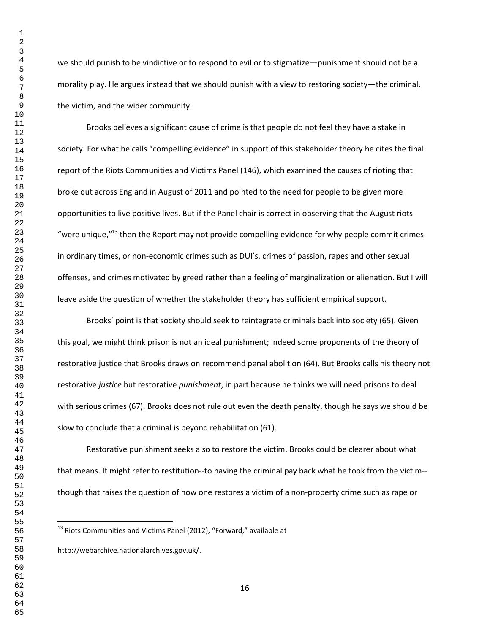we should punish to be vindictive or to respond to evil or to stigmatize—punishment should not be a morality play. He argues instead that we should punish with a view to restoring society—the criminal, the victim, and the wider community.

Brooks believes a significant cause of crime is that people do not feel they have a stake in society. For what he calls "compelling evidence" in support of this stakeholder theory he cites the final report of the Riots Communities and Victims Panel (146), which examined the causes of rioting that broke out across England in August of 2011 and pointed to the need for people to be given more opportunities to live positive lives. But if the Panel chair is correct in observing that the August riots "were unique,"<sup>13</sup> then the Report may not provide compelling evidence for why people commit crimes in ordinary times, or non-economic crimes such as DUI's, crimes of passion, rapes and other sexual offenses, and crimes motivated by greed rather than a feeling of marginalization or alienation. But I will leave aside the question of whether the stakeholder theory has sufficient empirical support.

Brooks' point is that society should seek to reintegrate criminals back into society (65). Given this goal, we might think prison is not an ideal punishment; indeed some proponents of the theory of restorative justice that Brooks draws on recommend penal abolition (64). But Brooks calls his theory not restorative *justice* but restorative *punishment*, in part because he thinks we will need prisons to deal with serious crimes (67). Brooks does not rule out even the death penalty, though he says we should be slow to conclude that a criminal is beyond rehabilitation (61).

Restorative punishment seeks also to restore the victim. Brooks could be clearer about what that means. It might refer to restitution--to having the criminal pay back what he took from the victim- though that raises the question of how one restores a victim of a non-property crime such as rape or

Riots Communities and Victims Panel (2012), "Forward," available at

http://webarchive.nationalarchives.gov.uk/.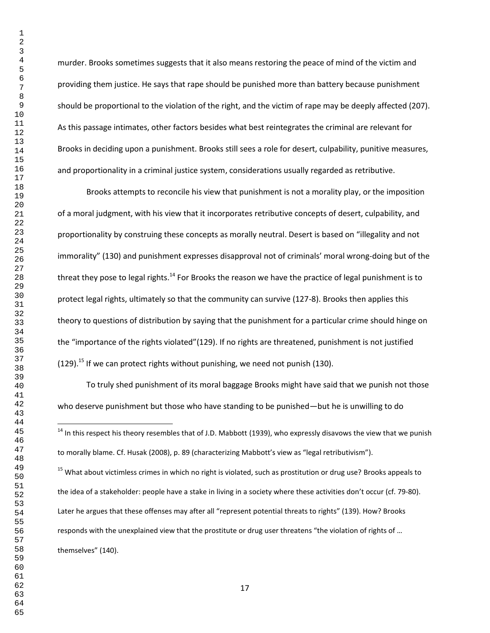murder. Brooks sometimes suggests that it also means restoring the peace of mind of the victim and providing them justice. He says that rape should be punished more than battery because punishment should be proportional to the violation of the right, and the victim of rape may be deeply affected (207). As this passage intimates, other factors besides what best reintegrates the criminal are relevant for Brooks in deciding upon a punishment. Brooks still sees a role for desert, culpability, punitive measures, and proportionality in a criminal justice system, considerations usually regarded as retributive.

Brooks attempts to reconcile his view that punishment is not a morality play, or the imposition of a moral judgment, with his view that it incorporates retributive concepts of desert, culpability, and proportionality by construing these concepts as morally neutral. Desert is based on "illegality and not immorality" (130) and punishment expresses disapproval not of criminals' moral wrong-doing but of the threat they pose to legal rights.<sup>14</sup> For Brooks the reason we have the practice of legal punishment is to protect legal rights, ultimately so that the community can survive (127-8). Brooks then applies this theory to questions of distribution by saying that the punishment for a particular crime should hinge on the "importance of the rights violated"(129). If no rights are threatened, punishment is not justified (129).<sup>15</sup> If we can protect rights without punishing, we need not punish (130).

To truly shed punishment of its moral baggage Brooks might have said that we punish not those who deserve punishment but those who have standing to be punished—but he is unwilling to do

 What about victimless crimes in which no right is violated, such as prostitution or drug use? Brooks appeals to the idea of a stakeholder: people have a stake in living in a society where these activities don't occur (cf. 79-80). Later he argues that these offenses may after all "represent potential threats to rights" (139). How? Brooks responds with the unexplained view that the prostitute or drug user threatens "the violation of rights of … themselves" (140).

 In this respect his theory resembles that of J.D. Mabbott (1939), who expressly disavows the view that we punish to morally blame. Cf. Husak (2008), p. 89 (characterizing Mabbott's view as "legal retributivism").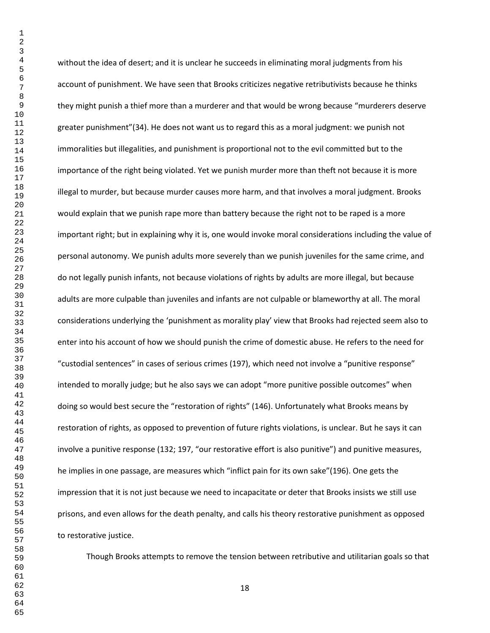without the idea of desert; and it is unclear he succeeds in eliminating moral judgments from his account of punishment. We have seen that Brooks criticizes negative retributivists because he thinks they might punish a thief more than a murderer and that would be wrong because "murderers deserve greater punishment"(34). He does not want us to regard this as a moral judgment: we punish not immoralities but illegalities, and punishment is proportional not to the evil committed but to the importance of the right being violated. Yet we punish murder more than theft not because it is more illegal to murder, but because murder causes more harm, and that involves a moral judgment. Brooks would explain that we punish rape more than battery because the right not to be raped is a more important right; but in explaining why it is, one would invoke moral considerations including the value of personal autonomy. We punish adults more severely than we punish juveniles for the same crime, and do not legally punish infants, not because violations of rights by adults are more illegal, but because adults are more culpable than juveniles and infants are not culpable or blameworthy at all. The moral considerations underlying the 'punishment as morality play' view that Brooks had rejected seem also to enter into his account of how we should punish the crime of domestic abuse. He refers to the need for "custodial sentences" in cases of serious crimes (197), which need not involve a "punitive response" intended to morally judge; but he also says we can adopt "more punitive possible outcomes" when doing so would best secure the "restoration of rights" (146). Unfortunately what Brooks means by restoration of rights, as opposed to prevention of future rights violations, is unclear. But he says it can involve a punitive response (132; 197, "our restorative effort is also punitive") and punitive measures, he implies in one passage, are measures which "inflict pain for its own sake"(196). One gets the impression that it is not just because we need to incapacitate or deter that Brooks insists we still use prisons, and even allows for the death penalty, and calls his theory restorative punishment as opposed to restorative justice.

Though Brooks attempts to remove the tension between retributive and utilitarian goals so that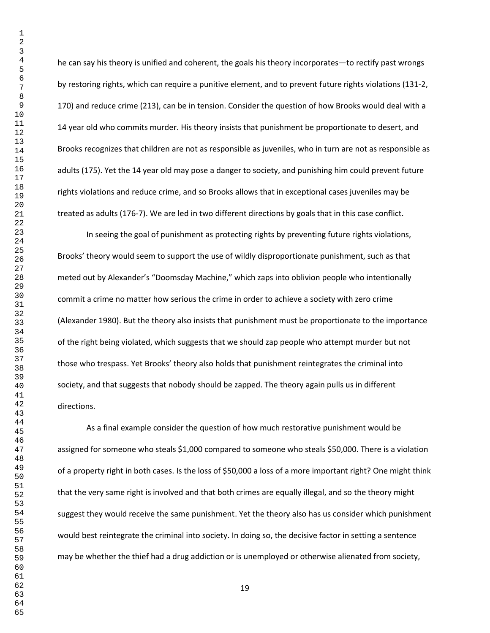he can say his theory is unified and coherent, the goals his theory incorporates—to rectify past wrongs by restoring rights, which can require a punitive element, and to prevent future rights violations (131-2, 170) and reduce crime (213), can be in tension. Consider the question of how Brooks would deal with a 14 year old who commits murder. His theory insists that punishment be proportionate to desert, and Brooks recognizes that children are not as responsible as juveniles, who in turn are not as responsible as adults (175). Yet the 14 year old may pose a danger to society, and punishing him could prevent future rights violations and reduce crime, and so Brooks allows that in exceptional cases juveniles may be treated as adults (176-7). We are led in two different directions by goals that in this case conflict.

In seeing the goal of punishment as protecting rights by preventing future rights violations, Brooks' theory would seem to support the use of wildly disproportionate punishment, such as that meted out by Alexander's "Doomsday Machine," which zaps into oblivion people who intentionally commit a crime no matter how serious the crime in order to achieve a society with zero crime (Alexander 1980). But the theory also insists that punishment must be proportionate to the importance of the right being violated, which suggests that we should zap people who attempt murder but not those who trespass. Yet Brooks' theory also holds that punishment reintegrates the criminal into society, and that suggests that nobody should be zapped. The theory again pulls us in different directions.

As a final example consider the question of how much restorative punishment would be assigned for someone who steals \$1,000 compared to someone who steals \$50,000. There is a violation of a property right in both cases. Is the loss of \$50,000 a loss of a more important right? One might think that the very same right is involved and that both crimes are equally illegal, and so the theory might suggest they would receive the same punishment. Yet the theory also has us consider which punishment would best reintegrate the criminal into society. In doing so, the decisive factor in setting a sentence may be whether the thief had a drug addiction or is unemployed or otherwise alienated from society,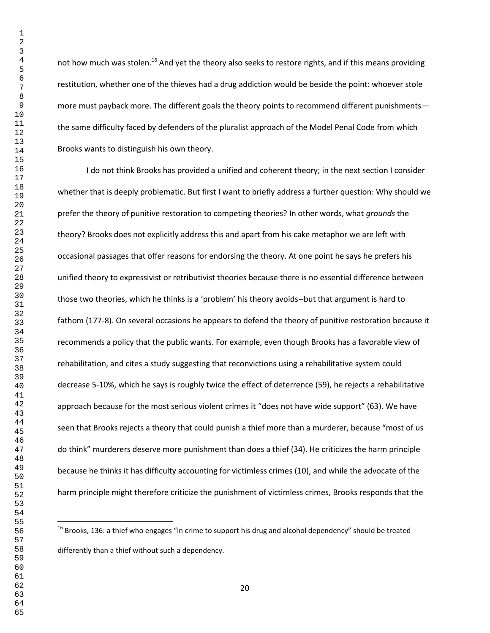$\overline{a}$ 

not how much was stolen.<sup>16</sup> And yet the theory also seeks to restore rights, and if this means providing restitution, whether one of the thieves had a drug addiction would be beside the point: whoever stole more must payback more. The different goals the theory points to recommend different punishments the same difficulty faced by defenders of the pluralist approach of the Model Penal Code from which Brooks wants to distinguish his own theory.

I do not think Brooks has provided a unified and coherent theory; in the next section I consider whether that is deeply problematic. But first I want to briefly address a further question: Why should we prefer the theory of punitive restoration to competing theories? In other words, what *grounds* the theory? Brooks does not explicitly address this and apart from his cake metaphor we are left with occasional passages that offer reasons for endorsing the theory. At one point he says he prefers his unified theory to expressivist or retributivist theories because there is no essential difference between those two theories, which he thinks is a 'problem' his theory avoids--but that argument is hard to fathom (177-8). On several occasions he appears to defend the theory of punitive restoration because it recommends a policy that the public wants. For example, even though Brooks has a favorable view of rehabilitation, and cites a study suggesting that reconvictions using a rehabilitative system could decrease 5-10%, which he says is roughly twice the effect of deterrence (59), he rejects a rehabilitative approach because for the most serious violent crimes it "does not have wide support" (63). We have seen that Brooks rejects a theory that could punish a thief more than a murderer, because "most of us do think" murderers deserve more punishment than does a thief (34). He criticizes the harm principle because he thinks it has difficulty accounting for victimless crimes (10), and while the advocate of the harm principle might therefore criticize the punishment of victimless crimes, Brooks responds that the

<sup>&</sup>lt;sup>16</sup> Brooks, 136: a thief who engages "in crime to support his drug and alcohol dependency" should be treated differently than a thief without such a dependency.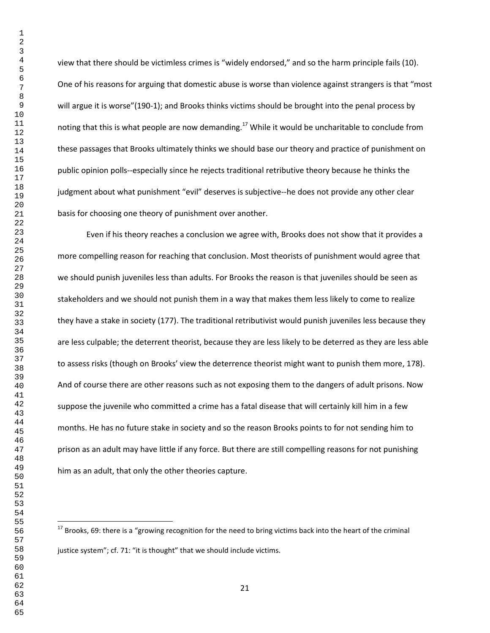view that there should be victimless crimes is "widely endorsed," and so the harm principle fails (10). One of his reasons for arguing that domestic abuse is worse than violence against strangers is that "most will argue it is worse"(190-1); and Brooks thinks victims should be brought into the penal process by noting that this is what people are now demanding.<sup>17</sup> While it would be uncharitable to conclude from these passages that Brooks ultimately thinks we should base our theory and practice of punishment on public opinion polls--especially since he rejects traditional retributive theory because he thinks the judgment about what punishment "evil" deserves is subjective--he does not provide any other clear basis for choosing one theory of punishment over another.

Even if his theory reaches a conclusion we agree with, Brooks does not show that it provides a more compelling reason for reaching that conclusion. Most theorists of punishment would agree that we should punish juveniles less than adults. For Brooks the reason is that juveniles should be seen as stakeholders and we should not punish them in a way that makes them less likely to come to realize they have a stake in society (177). The traditional retributivist would punish juveniles less because they are less culpable; the deterrent theorist, because they are less likely to be deterred as they are less able to assess risks (though on Brooks' view the deterrence theorist might want to punish them more, 178). And of course there are other reasons such as not exposing them to the dangers of adult prisons. Now suppose the juvenile who committed a crime has a fatal disease that will certainly kill him in a few months. He has no future stake in society and so the reason Brooks points to for not sending him to prison as an adult may have little if any force. But there are still compelling reasons for not punishing him as an adult, that only the other theories capture.

<sup>&</sup>lt;sup>17</sup> Brooks, 69: there is a "growing recognition for the need to bring victims back into the heart of the criminal justice system"; cf. 71: "it is thought" that we should include victims.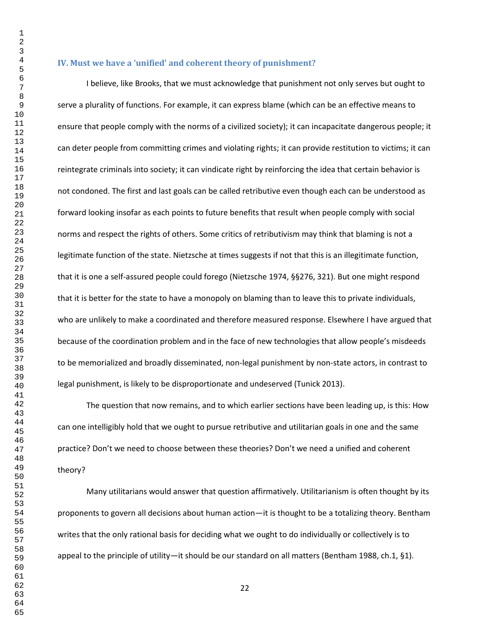I believe, like Brooks, that we must acknowledge that punishment not only serves but ought to serve a plurality of functions. For example, it can express blame (which can be an effective means to ensure that people comply with the norms of a civilized society); it can incapacitate dangerous people; it can deter people from committing crimes and violating rights; it can provide restitution to victims; it can reintegrate criminals into society; it can vindicate right by reinforcing the idea that certain behavior is not condoned. The first and last goals can be called retributive even though each can be understood as forward looking insofar as each points to future benefits that result when people comply with social norms and respect the rights of others. Some critics of retributivism may think that blaming is not a legitimate function of the state. Nietzsche at times suggests if not that this is an illegitimate function, that it is one a self-assured people could forego (Nietzsche 1974, §§276, 321). But one might respond that it is better for the state to have a monopoly on blaming than to leave this to private individuals, who are unlikely to make a coordinated and therefore measured response. Elsewhere I have argued that because of the coordination problem and in the face of new technologies that allow people's misdeeds to be memorialized and broadly disseminated, non-legal punishment by non-state actors, in contrast to legal punishment, is likely to be disproportionate and undeserved (Tunick 2013).

The question that now remains, and to which earlier sections have been leading up, is this: How can one intelligibly hold that we ought to pursue retributive and utilitarian goals in one and the same practice? Don't we need to choose between these theories? Don't we need a unified and coherent theory?

Many utilitarians would answer that question affirmatively. Utilitarianism is often thought by its proponents to govern all decisions about human action—it is thought to be a totalizing theory. Bentham writes that the only rational basis for deciding what we ought to do individually or collectively is to appeal to the principle of utility—it should be our standard on all matters (Bentham 1988, ch.1, §1).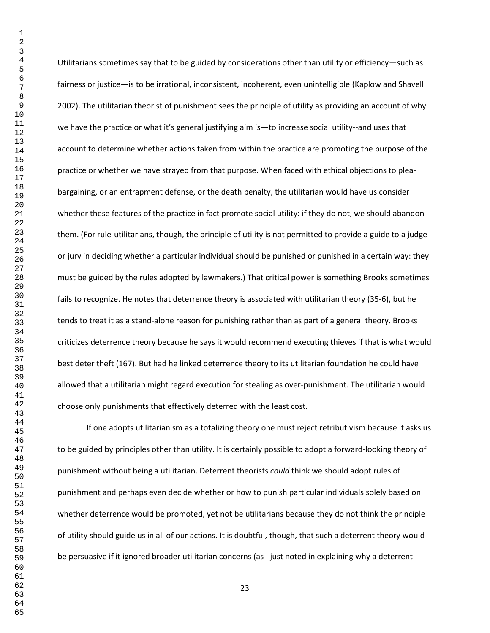Utilitarians sometimes say that to be guided by considerations other than utility or efficiency—such as fairness or justice—is to be irrational, inconsistent, incoherent, even unintelligible (Kaplow and Shavell 2002). The utilitarian theorist of punishment sees the principle of utility as providing an account of why we have the practice or what it's general justifying aim is—to increase social utility--and uses that account to determine whether actions taken from within the practice are promoting the purpose of the practice or whether we have strayed from that purpose. When faced with ethical objections to pleabargaining, or an entrapment defense, or the death penalty, the utilitarian would have us consider whether these features of the practice in fact promote social utility: if they do not, we should abandon them. (For rule-utilitarians, though, the principle of utility is not permitted to provide a guide to a judge or jury in deciding whether a particular individual should be punished or punished in a certain way: they must be guided by the rules adopted by lawmakers.) That critical power is something Brooks sometimes fails to recognize. He notes that deterrence theory is associated with utilitarian theory (35-6), but he tends to treat it as a stand-alone reason for punishing rather than as part of a general theory. Brooks criticizes deterrence theory because he says it would recommend executing thieves if that is what would best deter theft (167). But had he linked deterrence theory to its utilitarian foundation he could have allowed that a utilitarian might regard execution for stealing as over-punishment. The utilitarian would choose only punishments that effectively deterred with the least cost.

If one adopts utilitarianism as a totalizing theory one must reject retributivism because it asks us to be guided by principles other than utility. It is certainly possible to adopt a forward-looking theory of punishment without being a utilitarian. Deterrent theorists *could* think we should adopt rules of punishment and perhaps even decide whether or how to punish particular individuals solely based on whether deterrence would be promoted, yet not be utilitarians because they do not think the principle of utility should guide us in all of our actions. It is doubtful, though, that such a deterrent theory would be persuasive if it ignored broader utilitarian concerns (as I just noted in explaining why a deterrent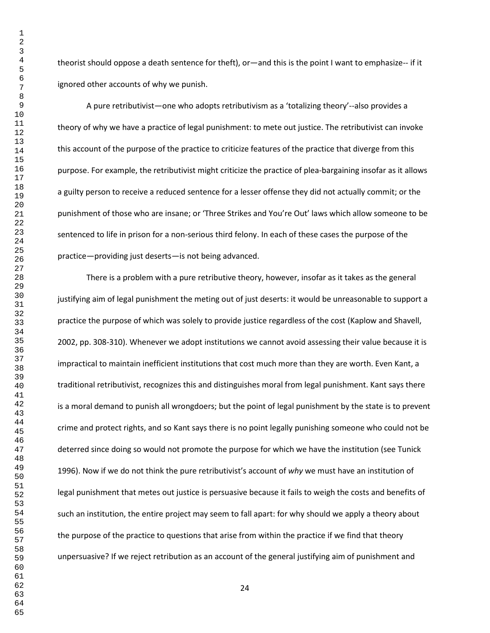theorist should oppose a death sentence for theft), or—and this is the point I want to emphasize-- if it ignored other accounts of why we punish.

A pure retributivist—one who adopts retributivism as a 'totalizing theory'--also provides a theory of why we have a practice of legal punishment: to mete out justice. The retributivist can invoke this account of the purpose of the practice to criticize features of the practice that diverge from this purpose. For example, the retributivist might criticize the practice of plea-bargaining insofar as it allows a guilty person to receive a reduced sentence for a lesser offense they did not actually commit; or the punishment of those who are insane; or 'Three Strikes and You're Out' laws which allow someone to be sentenced to life in prison for a non-serious third felony. In each of these cases the purpose of the practice—providing just deserts—is not being advanced.

There is a problem with a pure retributive theory, however, insofar as it takes as the general justifying aim of legal punishment the meting out of just deserts: it would be unreasonable to support a practice the purpose of which was solely to provide justice regardless of the cost (Kaplow and Shavell, 2002, pp. 308-310). Whenever we adopt institutions we cannot avoid assessing their value because it is impractical to maintain inefficient institutions that cost much more than they are worth. Even Kant, a traditional retributivist, recognizes this and distinguishes moral from legal punishment. Kant says there is a moral demand to punish all wrongdoers; but the point of legal punishment by the state is to prevent crime and protect rights, and so Kant says there is no point legally punishing someone who could not be deterred since doing so would not promote the purpose for which we have the institution (see Tunick 1996). Now if we do not think the pure retributivist's account of *why* we must have an institution of legal punishment that metes out justice is persuasive because it fails to weigh the costs and benefits of such an institution, the entire project may seem to fall apart: for why should we apply a theory about the purpose of the practice to questions that arise from within the practice if we find that theory unpersuasive? If we reject retribution as an account of the general justifying aim of punishment and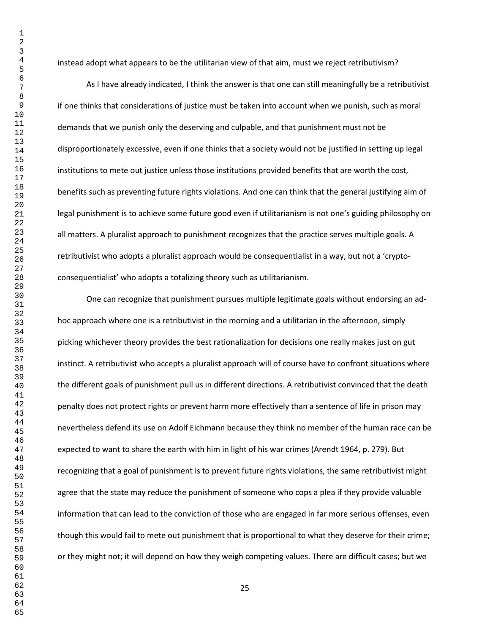instead adopt what appears to be the utilitarian view of that aim, must we reject retributivism?

As I have already indicated, I think the answer is that one can still meaningfully be a retributivist if one thinks that considerations of justice must be taken into account when we punish, such as moral demands that we punish only the deserving and culpable, and that punishment must not be disproportionately excessive, even if one thinks that a society would not be justified in setting up legal institutions to mete out justice unless those institutions provided benefits that are worth the cost, benefits such as preventing future rights violations. And one can think that the general justifying aim of legal punishment is to achieve some future good even if utilitarianism is not one's guiding philosophy on all matters. A pluralist approach to punishment recognizes that the practice serves multiple goals. A retributivist who adopts a pluralist approach would be consequentialist in a way, but not a 'cryptoconsequentialist' who adopts a totalizing theory such as utilitarianism.

One can recognize that punishment pursues multiple legitimate goals without endorsing an adhoc approach where one is a retributivist in the morning and a utilitarian in the afternoon, simply picking whichever theory provides the best rationalization for decisions one really makes just on gut instinct. A retributivist who accepts a pluralist approach will of course have to confront situations where the different goals of punishment pull us in different directions. A retributivist convinced that the death penalty does not protect rights or prevent harm more effectively than a sentence of life in prison may nevertheless defend its use on Adolf Eichmann because they think no member of the human race can be expected to want to share the earth with him in light of his war crimes (Arendt 1964, p. 279). But recognizing that a goal of punishment is to prevent future rights violations, the same retributivist might agree that the state may reduce the punishment of someone who cops a plea if they provide valuable information that can lead to the conviction of those who are engaged in far more serious offenses, even though this would fail to mete out punishment that is proportional to what they deserve for their crime; or they might not; it will depend on how they weigh competing values. There are difficult cases; but we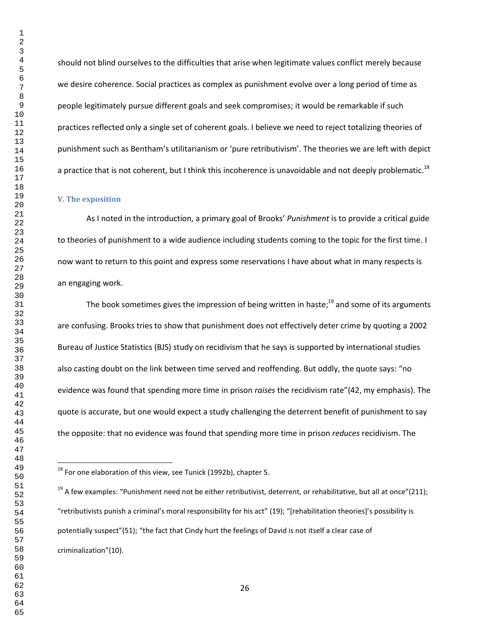should not blind ourselves to the difficulties that arise when legitimate values conflict merely because we desire coherence. Social practices as complex as punishment evolve over a long period of time as people legitimately pursue different goals and seek compromises; it would be remarkable if such practices reflected only a single set of coherent goals. I believe we need to reject totalizing theories of punishment such as Bentham's utilitarianism or 'pure retributivism'. The theories we are left with depict a practice that is not coherent, but I think this incoherence is unavoidable and not deeply problematic.<sup>18</sup>

#### **V. The exposition**

As I noted in the introduction, a primary goal of Brooks' *Punishment* is to provide a critical guide to theories of punishment to a wide audience including students coming to the topic for the first time. I now want to return to this point and express some reservations I have about what in many respects is an engaging work.

The book sometimes gives the impression of being written in haste;<sup>19</sup> and some of its arguments are confusing. Brooks tries to show that punishment does not effectively deter crime by quoting a 2002 Bureau of Justice Statistics (BJS) study on recidivism that he says is supported by international studies also casting doubt on the link between time served and reoffending. But oddly, the quote says: "no evidence was found that spending more time in prison *raises* the recidivism rate"(42, my emphasis). The quote is accurate, but one would expect a study challenging the deterrent benefit of punishment to say the opposite: that no evidence was found that spending more time in prison *reduces* recidivism. The

For one elaboration of this view, see Tunick (1992b), chapter 5.

 A few examples: "Punishment need not be either retributivist, deterrent, or rehabilitative, but all at once"(211); "retributivists punish a criminal's moral responsibility for his act" (19); "[rehabilitation theories]'s possibility is potentially suspect"(51); "the fact that Cindy hurt the feelings of David is not itself a clear case of criminalization"(10).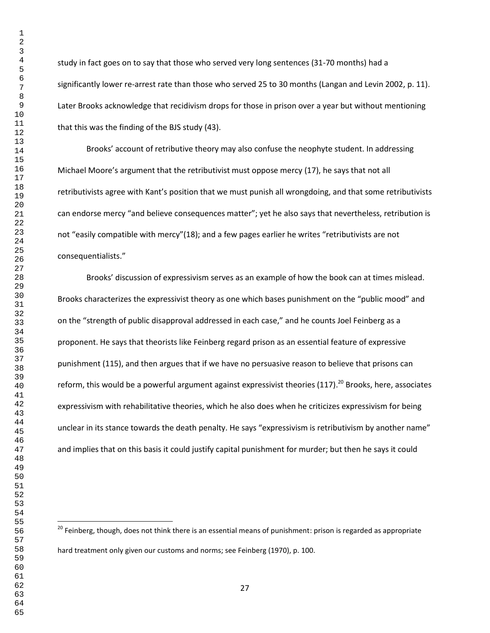study in fact goes on to say that those who served very long sentences (31-70 months) had a significantly lower re-arrest rate than those who served 25 to 30 months (Langan and Levin 2002, p. 11). Later Brooks acknowledge that recidivism drops for those in prison over a year but without mentioning that this was the finding of the BJS study (43).

Brooks' account of retributive theory may also confuse the neophyte student. In addressing Michael Moore's argument that the retributivist must oppose mercy (17), he says that not all retributivists agree with Kant's position that we must punish all wrongdoing, and that some retributivists can endorse mercy "and believe consequences matter"; yet he also says that nevertheless, retribution is not "easily compatible with mercy"(18); and a few pages earlier he writes "retributivists are not consequentialists."

Brooks' discussion of expressivism serves as an example of how the book can at times mislead. Brooks characterizes the expressivist theory as one which bases punishment on the "public mood" and on the "strength of public disapproval addressed in each case," and he counts Joel Feinberg as a proponent. He says that theorists like Feinberg regard prison as an essential feature of expressive punishment (115), and then argues that if we have no persuasive reason to believe that prisons can reform, this would be a powerful argument against expressivist theories (117).<sup>20</sup> Brooks, here, associates expressivism with rehabilitative theories, which he also does when he criticizes expressivism for being unclear in its stance towards the death penalty. He says "expressivism is retributivism by another name" and implies that on this basis it could justify capital punishment for murder; but then he says it could

<sup>&</sup>lt;sup>20</sup> Feinberg, though, does not think there is an essential means of punishment: prison is regarded as appropriate hard treatment only given our customs and norms; see Feinberg (1970), p. 100.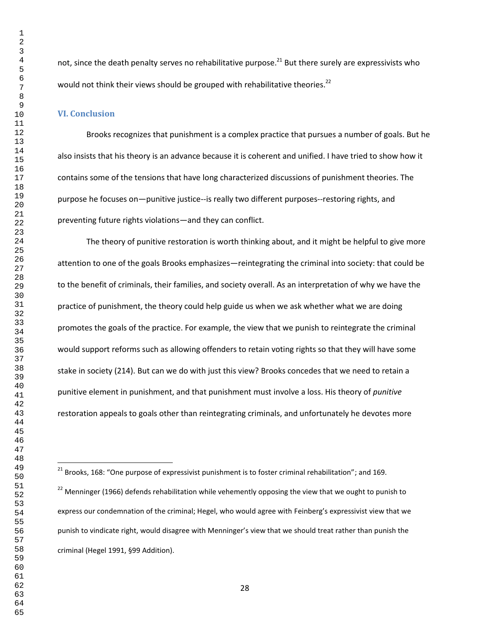not, since the death penalty serves no rehabilitative purpose.<sup>21</sup> But there surely are expressivists who would not think their views should be grouped with rehabilitative theories.<sup>22</sup>

## **VI. Conclusion**

Brooks recognizes that punishment is a complex practice that pursues a number of goals. But he also insists that his theory is an advance because it is coherent and unified. I have tried to show how it contains some of the tensions that have long characterized discussions of punishment theories. The purpose he focuses on—punitive justice--is really two different purposes--restoring rights, and preventing future rights violations—and they can conflict.

The theory of punitive restoration is worth thinking about, and it might be helpful to give more attention to one of the goals Brooks emphasizes—reintegrating the criminal into society: that could be to the benefit of criminals, their families, and society overall. As an interpretation of why we have the practice of punishment, the theory could help guide us when we ask whether what we are doing promotes the goals of the practice. For example, the view that we punish to reintegrate the criminal would support reforms such as allowing offenders to retain voting rights so that they will have some stake in society (214). But can we do with just this view? Brooks concedes that we need to retain a punitive element in punishment, and that punishment must involve a loss. His theory of *punitive* restoration appeals to goals other than reintegrating criminals, and unfortunately he devotes more

<sup>&</sup>lt;sup>21</sup> Brooks, 168: "One purpose of expressivist punishment is to foster criminal rehabilitation"; and 169.

<sup>&</sup>lt;sup>22</sup> Menninger (1966) defends rehabilitation while vehemently opposing the view that we ought to punish to express our condemnation of the criminal; Hegel, who would agree with Feinberg's expressivist view that we punish to vindicate right, would disagree with Menninger's view that we should treat rather than punish the criminal (Hegel 1991, §99 Addition).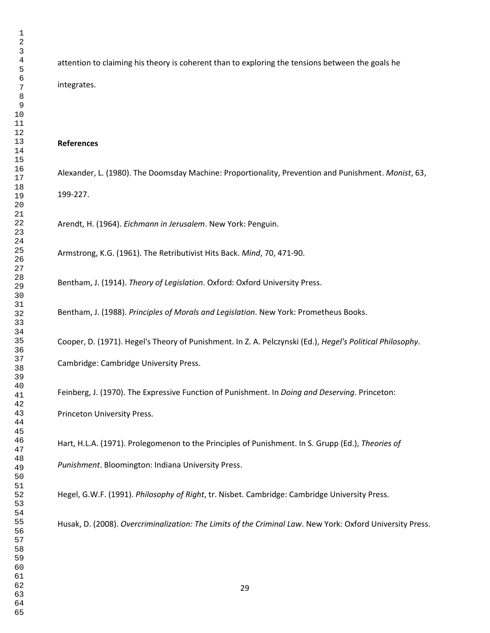attention to claiming his theory is coherent than to exploring the tensions between the goals he integrates.

#### **References**

Alexander, L. (1980). The Doomsday Machine: Proportionality, Prevention and Punishment. *Monist*, 63, 199-227.

Arendt, H. (1964). *Eichmann in Jerusalem*. New York: Penguin.

Armstrong, K.G. (1961). The Retributivist Hits Back. *Mind*, 70, 471-90.

Bentham, J. (1914). *Theory of Legislation*. Oxford: Oxford University Press.

Bentham, J. (1988). *Principles of Morals and Legislation*. New York: Prometheus Books.

Cooper, D. (1971). Hegel's Theory of Punishment. In Z. A. Pelczynski (Ed.), *Hegel's Political Philosophy*. Cambridge: Cambridge University Press.

Feinberg, J. (1970). The Expressive Function of Punishment. In *Doing and Deserving*. Princeton: Princeton University Press.

Hart, H.L.A. (1971). Prolegomenon to the Principles of Punishment. In S. Grupp (Ed.), *Theories of Punishment*. Bloomington: Indiana University Press.

Hegel, G.W.F. (1991). *Philosophy of Right*, tr. Nisbet. Cambridge: Cambridge University Press.

Husak, D. (2008). *Overcriminalization: The Limits of the Criminal Law*. New York: Oxford University Press.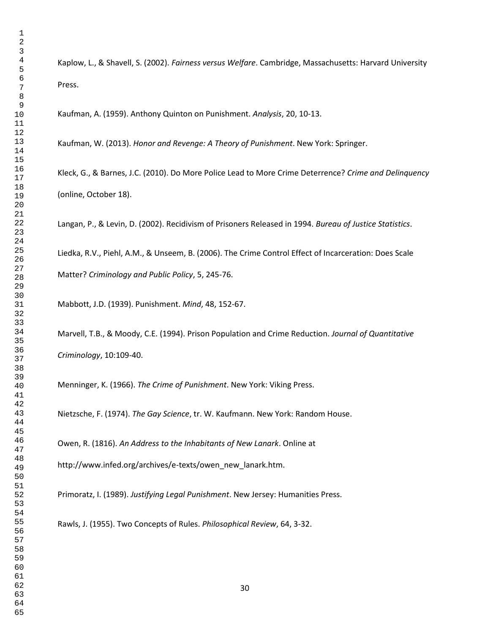Kaplow, L., & Shavell, S. (2002). *Fairness versus Welfare*. Cambridge, Massachusetts: Harvard University Press.

Kaufman, A. (1959). Anthony Quinton on Punishment. *Analysis*, 20, 10-13.

Kaufman, W. (2013). *Honor and Revenge: A Theory of Punishment*. New York: Springer.

Kleck, G., & Barnes, J.C. (2010). Do More Police Lead to More Crime Deterrence? *Crime and Delinquency* (online, October 18).

Langan, P., & Levin, D. (2002). Recidivism of Prisoners Released in 1994. *Bureau of Justice Statistics*.

Liedka, R.V., Piehl, A.M., & Unseem, B. (2006). The Crime Control Effect of Incarceration: Does Scale Matter? *Criminology and Public Policy*, 5, 245-76.

Mabbott, J.D. (1939). Punishment. *Mind*, 48, 152-67.

Marvell, T.B., & Moody, C.E. (1994). Prison Population and Crime Reduction. *Journal of Quantitative Criminology*, 10:109-40.

Menninger, K. (1966). *The Crime of Punishment*. New York: Viking Press.

Nietzsche, F. (1974). *The Gay Science*, tr. W. Kaufmann. New York: Random House.

Owen, R. (1816). *An Address to the Inhabitants of New Lanark*. Online at

http://www.infed.org/archives/e-texts/owen\_new\_lanark.htm.

Primoratz, I. (1989). *Justifying Legal Punishment*. New Jersey: Humanities Press.

Rawls, J. (1955). Two Concepts of Rules. *Philosophical Review*, 64, 3-32.